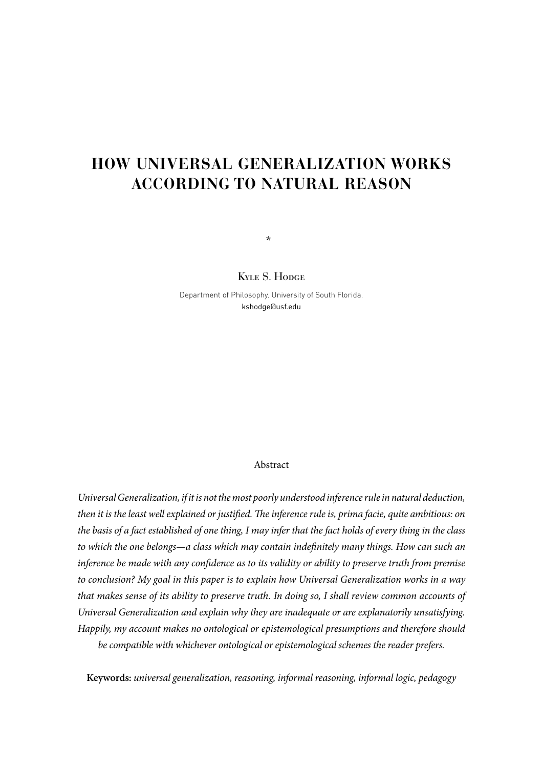# **HOW UNIVERSAL GENERALIZATION WORKS ACCORDING TO NATURAL REASON**

Kyle S. Hodge

\*

Department of Philosophy. University of South Florida. kshodge@usf.edu

#### Abstract

*Universal Generalization, if it is not the most poorly understood inference rule in natural deduction, then it is the least well explained or justified. The inference rule is, prima facie, quite ambitious: on the basis of a fact established of one thing, I may infer that the fact holds of every thing in the class*  to which the one belongs—a class which may contain indefinitely many things. How can such an *inference be made with any confidence as to its validity or ability to preserve truth from premise to conclusion? My goal in this paper is to explain how Universal Generalization works in a way that makes sense of its ability to preserve truth. In doing so, I shall review common accounts of Universal Generalization and explain why they are inadequate or are explanatorily unsatisfying. Happily, my account makes no ontological or epistemological presumptions and therefore should be compatible with whichever ontological or epistemological schemes the reader prefers.*

**Keywords:** *universal generalization, reasoning, informal reasoning, informal logic, pedagogy*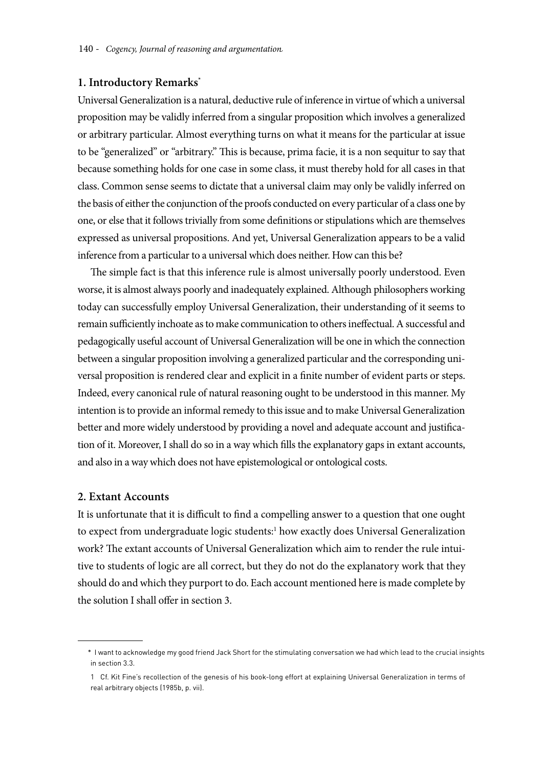#### **1. Introductory Remarks\***

Universal Generalization is a natural, deductive rule of inference in virtue of which a universal proposition may be validly inferred from a singular proposition which involves a generalized or arbitrary particular. Almost everything turns on what it means for the particular at issue to be "generalized" or "arbitrary." This is because, prima facie, it is a non sequitur to say that because something holds for one case in some class, it must thereby hold for all cases in that class. Common sense seems to dictate that a universal claim may only be validly inferred on the basis of either the conjunction of the proofs conducted on every particular of a class one by one, or else that it follows trivially from some definitions or stipulations which are themselves expressed as universal propositions. And yet, Universal Generalization appears to be a valid inference from a particular to a universal which does neither. How can this be?

The simple fact is that this inference rule is almost universally poorly understood. Even worse, it is almost always poorly and inadequately explained. Although philosophers working today can successfully employ Universal Generalization, their understanding of it seems to remain sufficiently inchoate as to make communication to others ineffectual. A successful and pedagogically useful account of Universal Generalization will be one in which the connection between a singular proposition involving a generalized particular and the corresponding universal proposition is rendered clear and explicit in a finite number of evident parts or steps. Indeed, every canonical rule of natural reasoning ought to be understood in this manner. My intention is to provide an informal remedy to this issue and to make Universal Generalization better and more widely understood by providing a novel and adequate account and justification of it. Moreover, I shall do so in a way which fills the explanatory gaps in extant accounts, and also in a way which does not have epistemological or ontological costs.

#### **2. Extant Accounts**

It is unfortunate that it is difficult to find a compelling answer to a question that one ought to expect from undergraduate logic students:<sup>1</sup> how exactly does Universal Generalization work? The extant accounts of Universal Generalization which aim to render the rule intuitive to students of logic are all correct, but they do not do the explanatory work that they should do and which they purport to do. Each account mentioned here is made complete by the solution I shall offer in section 3.

<sup>\*</sup> I want to acknowledge my good friend Jack Short for the stimulating conversation we had which lead to the crucial insights in section 3.3.

<sup>1</sup> Cf. Kit Fine's recollection of the genesis of his book-long effort at explaining Universal Generalization in terms of real arbitrary objects (1985b, p. vii).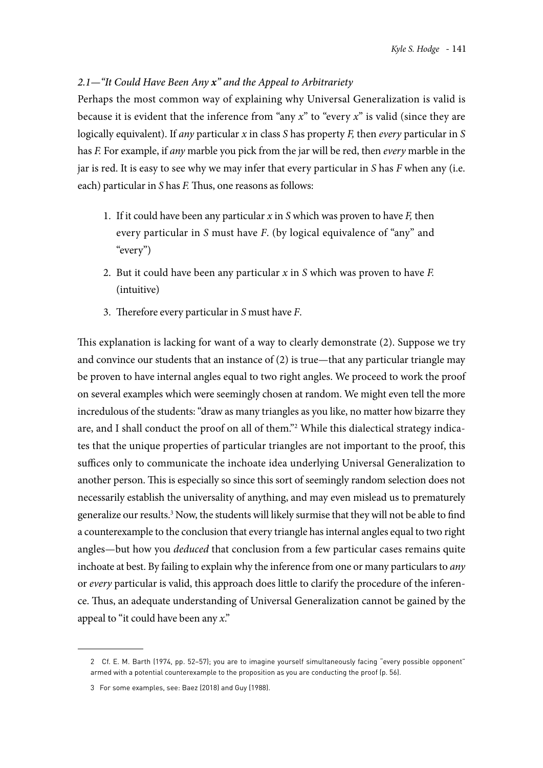# *2.1—"It Could Have Been Any x" and the Appeal to Arbitrariety*

Perhaps the most common way of explaining why Universal Generalization is valid is because it is evident that the inference from "any *x*" to "every *x*" is valid (since they are logically equivalent). If *any* particular *x* in class *S* has property *F,* then *every* particular in *S*  has *F.* For example, if *any* marble you pick from the jar will be red, then *every* marble in the jar is red. It is easy to see why we may infer that every particular in *S* has *F* when any (i.e. each) particular in *S* has *F.* Thus, one reasons as follows:

- 1. If it could have been any particular *x* in *S* which was proven to have *F,* then every particular in *S* must have *F*. (by logical equivalence of "any" and "every")
- 2. But it could have been any particular *x* in *S* which was proven to have *F.*  (intuitive)
- 3. Therefore every particular in *S* must have *F*.

This explanation is lacking for want of a way to clearly demonstrate (2). Suppose we try and convince our students that an instance of (2) is true—that any particular triangle may be proven to have internal angles equal to two right angles. We proceed to work the proof on several examples which were seemingly chosen at random. We might even tell the more incredulous of the students: "draw as many triangles as you like, no matter how bizarre they are, and I shall conduct the proof on all of them."<sup>2</sup> While this dialectical strategy indicates that the unique properties of particular triangles are not important to the proof, this suffices only to communicate the inchoate idea underlying Universal Generalization to another person. This is especially so since this sort of seemingly random selection does not necessarily establish the universality of anything, and may even mislead us to prematurely generalize our results.<sup>3</sup> Now, the students will likely surmise that they will not be able to find a counterexample to the conclusion that every triangle has internal angles equal to two right angles—but how you *deduced* that conclusion from a few particular cases remains quite inchoate at best. By failing to explain why the inference from one or many particulars to *any* or *every* particular is valid, this approach does little to clarify the procedure of the inference. Thus, an adequate understanding of Universal Generalization cannot be gained by the appeal to "it could have been any *x*."

<sup>2</sup> Cf. E. M. Barth (1974, pp. 52–57); you are to imagine yourself simultaneously facing "every possible opponent" armed with a potential counterexample to the proposition as you are conducting the proof (p. 56).

<sup>3</sup> For some examples, see: Baez (2018) and Guy (1988).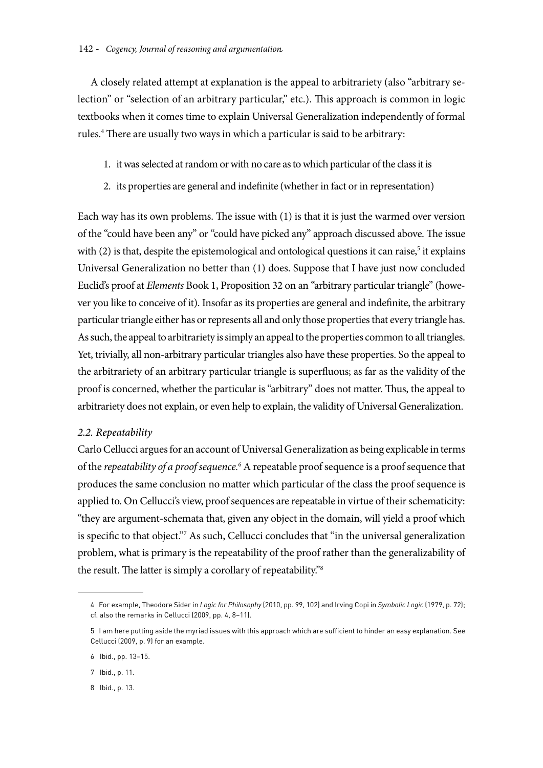A closely related attempt at explanation is the appeal to arbitrariety (also "arbitrary selection" or "selection of an arbitrary particular," etc.). This approach is common in logic textbooks when it comes time to explain Universal Generalization independently of formal rules.4 There are usually two ways in which a particular is said to be arbitrary:

- 1. it was selected at random or with no care as to which particular of the class it is
- 2. its properties are general and indefinite (whether in fact or in representation)

Each way has its own problems. The issue with (1) is that it is just the warmed over version of the "could have been any" or "could have picked any" approach discussed above. The issue with  $(2)$  is that, despite the epistemological and ontological questions it can raise,<sup>5</sup> it explains Universal Generalization no better than (1) does. Suppose that I have just now concluded Euclid's proof at *Elements* Book 1, Proposition 32 on an "arbitrary particular triangle" (however you like to conceive of it). Insofar as its properties are general and indefinite, the arbitrary particular triangle either has or represents all and only those properties that every triangle has. As such, the appeal to arbitrariety is simply an appeal to the properties common to all triangles. Yet, trivially, all non-arbitrary particular triangles also have these properties. So the appeal to the arbitrariety of an arbitrary particular triangle is superfluous; as far as the validity of the proof is concerned, whether the particular is "arbitrary" does not matter. Thus, the appeal to arbitrariety does not explain, or even help to explain, the validity of Universal Generalization.

# *2.2. Repeatability*

Carlo Cellucci argues for an account of Universal Generalization as being explicable in terms of the *repeatability of a proof sequence*.<sup>6</sup> A repeatable proof sequence is a proof sequence that produces the same conclusion no matter which particular of the class the proof sequence is applied to. On Cellucci's view, proof sequences are repeatable in virtue of their schematicity: "they are argument-schemata that, given any object in the domain, will yield a proof which is specific to that object."7 As such, Cellucci concludes that "in the universal generalization problem, what is primary is the repeatability of the proof rather than the generalizability of the result. The latter is simply a corollary of repeatability."8

8 Ibid., p. 13.

<sup>4</sup> For example, Theodore Sider in *Logic for Philosophy* (2010, pp. 99, 102) and Irving Copi in *Symbolic Logic* (1979, p. 72); cf. also the remarks in Cellucci (2009, pp. 4, 8–11).

<sup>5</sup> I am here putting aside the myriad issues with this approach which are sufficient to hinder an easy explanation. See Cellucci (2009, p. 9) for an example.

<sup>6</sup> Ibid., pp. 13–15.

<sup>7</sup> Ibid., p. 11.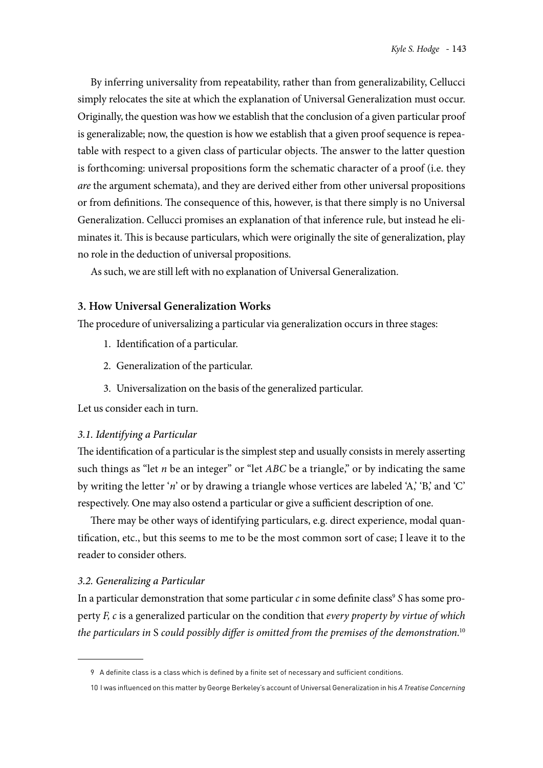By inferring universality from repeatability, rather than from generalizability, Cellucci simply relocates the site at which the explanation of Universal Generalization must occur. Originally, the question was how we establish that the conclusion of a given particular proof is generalizable; now, the question is how we establish that a given proof sequence is repeatable with respect to a given class of particular objects. The answer to the latter question is forthcoming: universal propositions form the schematic character of a proof (i.e. they *are* the argument schemata), and they are derived either from other universal propositions or from definitions. The consequence of this, however, is that there simply is no Universal Generalization. Cellucci promises an explanation of that inference rule, but instead he eliminates it. This is because particulars, which were originally the site of generalization, play no role in the deduction of universal propositions.

As such, we are still left with no explanation of Universal Generalization.

# **3. How Universal Generalization Works**

The procedure of universalizing a particular via generalization occurs in three stages:

- 1. Identification of a particular.
- 2. Generalization of the particular.
- 3. Universalization on the basis of the generalized particular.

Let us consider each in turn.

# *3.1. Identifying a Particular*

The identification of a particular is the simplest step and usually consists in merely asserting such things as "let *n* be an integer" or "let *ABC* be a triangle," or by indicating the same by writing the letter '*n*' or by drawing a triangle whose vertices are labeled 'A,' 'B,' and 'C' respectively. One may also ostend a particular or give a sufficient description of one.

There may be other ways of identifying particulars, e.g. direct experience, modal quantification, etc., but this seems to me to be the most common sort of case; I leave it to the reader to consider others.

# *3.2. Generalizing a Particular*

In a particular demonstration that some particular  $c$  in some definite class<sup>9</sup> *S* has some property *F, c* is a generalized particular on the condition that *every property by virtue of which the particulars in* S *could possibly differ is omitted from the premises of the demonstration*. 10

<sup>9</sup> A definite class is a class which is defined by a finite set of necessary and sufficient conditions.

<sup>10</sup> I was influenced on this matter by George Berkeley's account of Universal Generalization in his *A Treatise Concerning*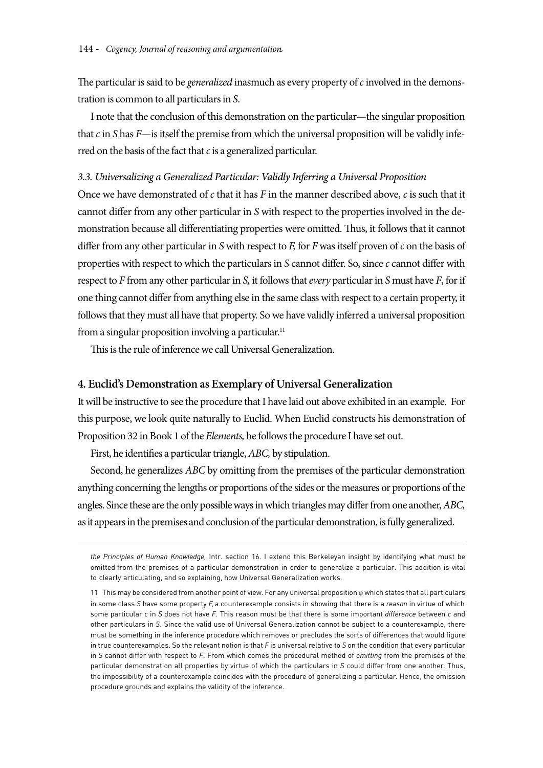The particular is said to be *generalized* inasmuch as every property of *c* involved in the demonstration is common to all particulars in *S*.

I note that the conclusion of this demonstration on the particular—the singular proposition that *c* in *S* has *F*—is itself the premise from which the universal proposition will be validly inferred on the basis of the fact that *c* is a generalized particular.

#### *3.3. Universalizing a Generalized Particular: Validly Inferring a Universal Proposition*

Once we have demonstrated of *c* that it has *F* in the manner described above, *c* is such that it cannot differ from any other particular in *S* with respect to the properties involved in the demonstration because all differentiating properties were omitted. Thus, it follows that it cannot differ from any other particular in *S* with respect to *F,* for *F* was itself proven of *c* on the basis of properties with respect to which the particulars in *S* cannot differ. So, since *c* cannot differ with respect to *F* from any other particular in *S,* it follows that *every* particular in *S* must have *F*, for if one thing cannot differ from anything else in the same class with respect to a certain property, it follows that they must all have that property. So we have validly inferred a universal proposition from a singular proposition involving a particular.<sup>11</sup>

This is the rule of inference we call Universal Generalization.

#### **4. Euclid's Demonstration as Exemplary of Universal Generalization**

It will be instructive to see the procedure that I have laid out above exhibited in an example. For this purpose, we look quite naturally to Euclid. When Euclid constructs his demonstration of Proposition 32 in Book 1 of the *Elements,* he follows the procedure I have set out.

First, he identifies a particular triangle, *ABC,* by stipulation.

Second, he generalizes *ABC* by omitting from the premises of the particular demonstration anything concerning the lengths or proportions of the sides or the measures or proportions of the angles. Since these are the only possible ways in which triangles may differ from one another, *ABC,* as it appears in the premises and conclusion of the particular demonstration, is fully generalized.

*the Principles of Human Knowledge,* Intr. section 16. I extend this Berkeleyan insight by identifying what must be omitted from the premises of a particular demonstration in order to generalize a particular. This addition is vital to clearly articulating, and so explaining, how Universal Generalization works.

<sup>11</sup> This may be considered from another point of view. For any universal proposition  $\varphi$  which states that all particulars in some class *S* have some property *F,* a counterexample consists in showing that there is a *reason* in virtue of which some particular *c* in *S* does not have *F*. This reason must be that there is some important *difference* between *c* and other particulars in *S*. Since the valid use of Universal Generalization cannot be subject to a counterexample, there must be something in the inference procedure which removes or precludes the sorts of differences that would figure in true counterexamples. So the relevant notion is that *F* is universal relative to *S* on the condition that every particular in *S* cannot differ with respect to *F*. From which comes the procedural method of *omitting* from the premises of the particular demonstration all properties by virtue of which the particulars in *S* could differ from one another. Thus, the impossibility of a counterexample coincides with the procedure of generalizing a particular. Hence, the omission procedure grounds and explains the validity of the inference.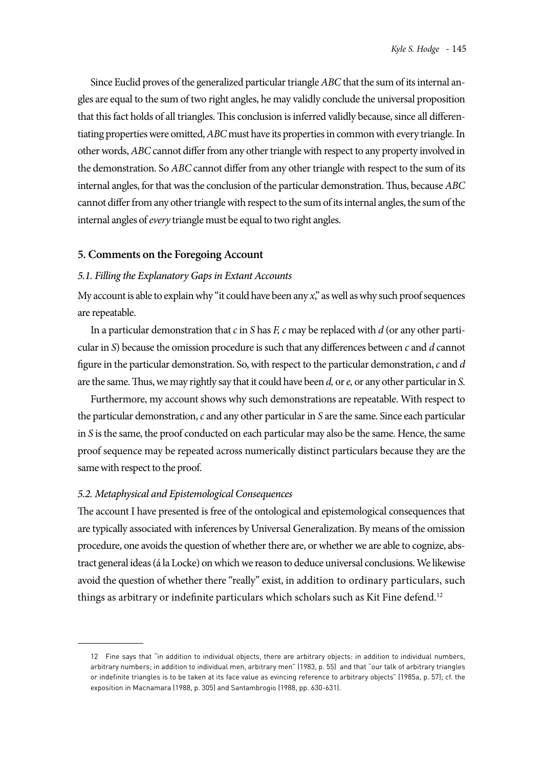Since Euclid proves of the generalized particular triangle *ABC* that the sum of its internal angles are equal to the sum of two right angles, he may validly conclude the universal proposition that this fact holds of all triangles. This conclusion is inferred validly because, since all differentiating properties were omitted, *ABC* must have its properties in common with every triangle. In other words, *ABC* cannot differ from any other triangle with respect to any property involved in the demonstration. So *ABC* cannot differ from any other triangle with respect to the sum of its internal angles, for that was the conclusion of the particular demonstration. Thus, because *ABC* cannot differ from any other triangle with respect to the sum of its internal angles, the sum of the internal angles of *every* triangle must be equal to two right angles.

#### **5. Comments on the Foregoing Account**

#### *5.1. Filling the Explanatory Gaps in Extant Accounts*

My account is able to explain why "it could have been any *x*," as well as why such proof sequences are repeatable.

In a particular demonstration that *c* in *S* has *F, c* may be replaced with *d* (or any other particular in *S*) because the omission procedure is such that any differences between *c* and *d* cannot figure in the particular demonstration. So, with respect to the particular demonstration, *c* and *d* are the same. Thus, we may rightly say that it could have been *d,* or *e,* or any other particular in *S*.

Furthermore, my account shows why such demonstrations are repeatable. With respect to the particular demonstration, *c* and any other particular in *S* are the same. Since each particular in *S* is the same, the proof conducted on each particular may also be the same. Hence, the same proof sequence may be repeated across numerically distinct particulars because they are the same with respect to the proof.

#### *5.2. Metaphysical and Epistemological Consequences*

The account I have presented is free of the ontological and epistemological consequences that are typically associated with inferences by Universal Generalization. By means of the omission procedure, one avoids the question of whether there are, or whether we are able to cognize, abstract general ideas (á la Locke) on which we reason to deduce universal conclusions. We likewise avoid the question of whether there "really" exist, in addition to ordinary particulars, such things as arbitrary or indefinite particulars which scholars such as Kit Fine defend.<sup>12</sup>

<sup>12</sup> Fine says that "in addition to individual objects, there are arbitrary objects: in addition to individual numbers, arbitrary numbers; in addition to individual men, arbitrary men" (1983, p. 55) and that "our talk of arbitrary triangles or indefinite triangles is to be taken at its face value as evincing reference to arbitrary objects" (1985a, p. 57); cf. the exposition in Macnamara (1988, p. 305) and Santambrogio (1988, pp. 630-631).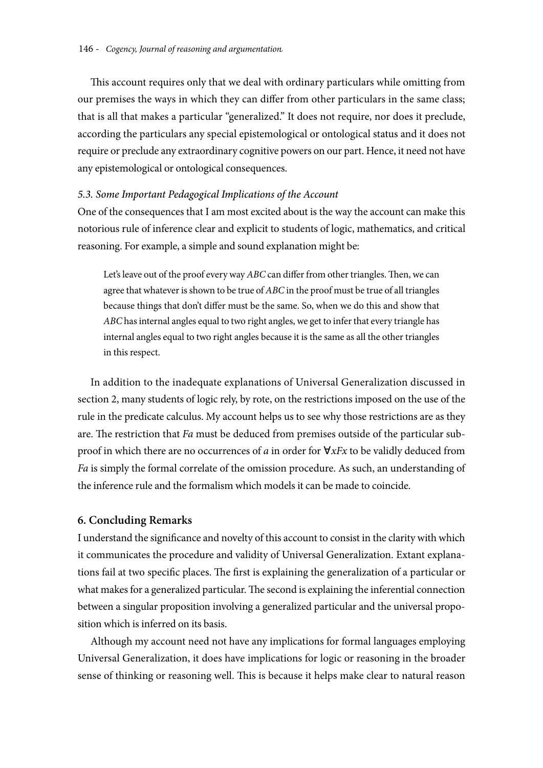This account requires only that we deal with ordinary particulars while omitting from our premises the ways in which they can differ from other particulars in the same class; that is all that makes a particular "generalized." It does not require, nor does it preclude, according the particulars any special epistemological or ontological status and it does not require or preclude any extraordinary cognitive powers on our part. Hence, it need not have any epistemological or ontological consequences.

## *5.3. Some Important Pedagogical Implications of the Account*

One of the consequences that I am most excited about is the way the account can make this notorious rule of inference clear and explicit to students of logic, mathematics, and critical reasoning. For example, a simple and sound explanation might be:

Let's leave out of the proof every way *ABC* can differ from other triangles. Then, we can agree that whatever is shown to be true of *ABC* in the proof must be true of all triangles because things that don't differ must be the same. So, when we do this and show that *ABC* has internal angles equal to two right angles, we get to infer that every triangle has internal angles equal to two right angles because it is the same as all the other triangles in this respect.

In addition to the inadequate explanations of Universal Generalization discussed in section 2, many students of logic rely, by rote, on the restrictions imposed on the use of the rule in the predicate calculus. My account helps us to see why those restrictions are as they are. The restriction that *Fa* must be deduced from premises outside of the particular subproof in which there are no occurrences of *a* in order for ∀*xFx* to be validly deduced from *Fa* is simply the formal correlate of the omission procedure. As such, an understanding of the inference rule and the formalism which models it can be made to coincide.

#### **6. Concluding Remarks**

I understand the significance and novelty of this account to consist in the clarity with which it communicates the procedure and validity of Universal Generalization. Extant explanations fail at two specific places. The first is explaining the generalization of a particular or what makes for a generalized particular. The second is explaining the inferential connection between a singular proposition involving a generalized particular and the universal proposition which is inferred on its basis.

Although my account need not have any implications for formal languages employing Universal Generalization, it does have implications for logic or reasoning in the broader sense of thinking or reasoning well. This is because it helps make clear to natural reason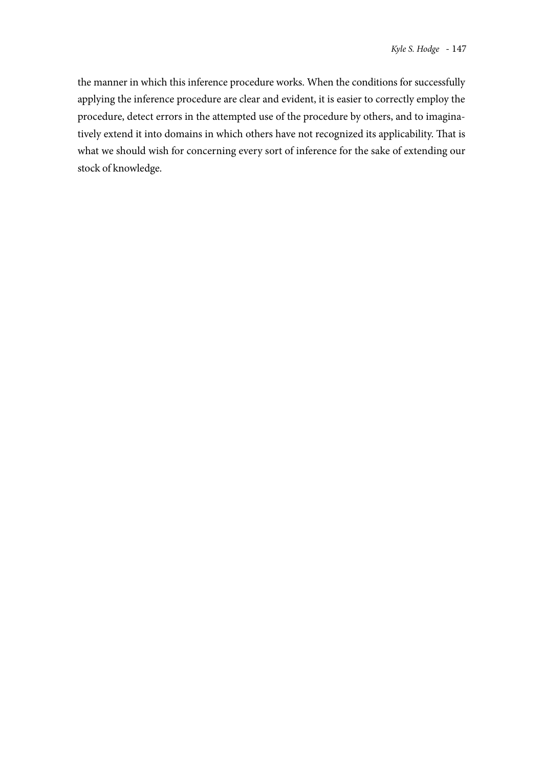the manner in which this inference procedure works. When the conditions for successfully applying the inference procedure are clear and evident, it is easier to correctly employ the procedure, detect errors in the attempted use of the procedure by others, and to imaginatively extend it into domains in which others have not recognized its applicability. That is what we should wish for concerning every sort of inference for the sake of extending our stock of knowledge.